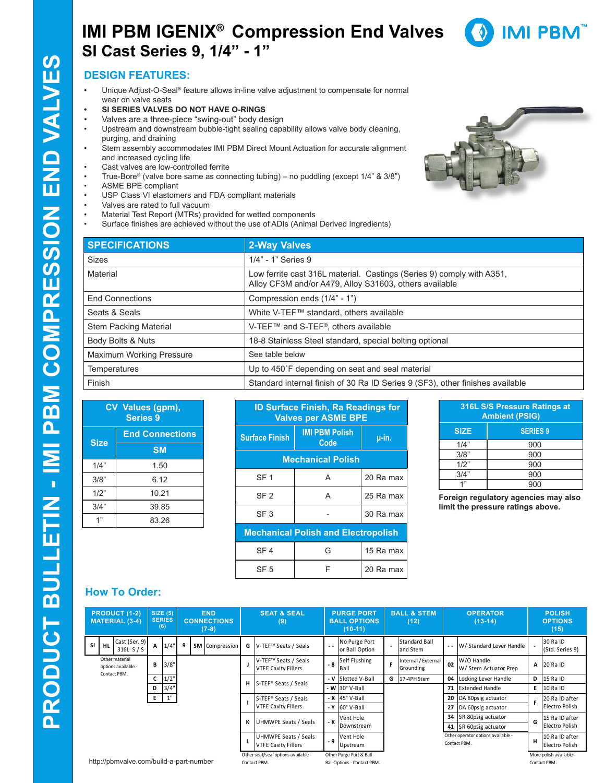## **IMI PBM IGENIX® Compression End Valves SI Cast Series 9, 1/4" - 1"**



#### **DESIGN FEATURES:**

- Unique Adjust-O-Seal® feature allows in-line valve adjustment to compensate for normal wear on valve seats
- **• SI SERIES VALVES DO NOT HAVE O-RINGS**
- Valves are a three-piece "swing-out" body design
- Upstream and downstream bubble-tight sealing capability allows valve body cleaning, purging, and draining
- Stem assembly accommodates IMI PBM Direct Mount Actuation for accurate alignment and increased cycling life
- Cast valves are low-controlled ferrite
- True-Bore® (valve bore same as connecting tubing) no puddling (except  $1/4$ " &  $3/8$ ")
- ASME BPE compliant
- USP Class VI elastomers and FDA compliant materials
- Valves are rated to full vacuum
- Material Test Report (MTRs) provided for wetted components
- Surface finishes are achieved without the use of ADIs (Animal Derived Ingredients)



| <b>SPECIFICATIONS</b>    | 2-Way Valves                                                                                                                    |
|--------------------------|---------------------------------------------------------------------------------------------------------------------------------|
| <b>Sizes</b>             | 1/4" - 1" Series 9                                                                                                              |
| Material                 | Low ferrite cast 316L material. Castings (Series 9) comply with A351,<br>Alloy CF3M and/or A479, Alloy S31603, others available |
| <b>End Connections</b>   | Compression ends (1/4" - 1")                                                                                                    |
| Seats & Seals            | White V-TEF™ standard, others available                                                                                         |
| Stem Packing Material    | V-TEF™ and S-TEF®, others available                                                                                             |
| Body Bolts & Nuts        | 18-8 Stainless Steel standard, special bolting optional                                                                         |
| Maximum Working Pressure | See table below                                                                                                                 |
| <b>Temperatures</b>      | Up to 450°F depending on seat and seal material                                                                                 |
| Finish                   | Standard internal finish of 30 Ra ID Series 9 (SF3), other finishes available                                                   |

| CV Values (gpm),<br><b>Series 9</b> |                        |  |  |  |  |  |  |  |  |
|-------------------------------------|------------------------|--|--|--|--|--|--|--|--|
|                                     | <b>End Connections</b> |  |  |  |  |  |  |  |  |
| <b>Size</b>                         | <b>SM</b>              |  |  |  |  |  |  |  |  |
| 1/4"                                | 1.50                   |  |  |  |  |  |  |  |  |
| 3/8"                                | 6.12                   |  |  |  |  |  |  |  |  |
| 1/2"                                | 10.21                  |  |  |  |  |  |  |  |  |
| 3/4"                                | 39.85                  |  |  |  |  |  |  |  |  |
| 1"                                  | 83.26                  |  |  |  |  |  |  |  |  |

| <b>ID Surface Finish, Ra Readings for</b><br><b>Valves per ASME BPE</b> |                               |           |  |  |  |  |  |  |  |  |  |
|-------------------------------------------------------------------------|-------------------------------|-----------|--|--|--|--|--|--|--|--|--|
| <b>Surface Finish</b>                                                   | <b>IMI PBM Polish</b><br>Code | µ-in.     |  |  |  |  |  |  |  |  |  |
|                                                                         | <b>Mechanical Polish</b>      |           |  |  |  |  |  |  |  |  |  |
| SF <sub>1</sub>                                                         | A                             | 20 Ra max |  |  |  |  |  |  |  |  |  |
| SF <sub>2</sub>                                                         | A                             | 25 Ra max |  |  |  |  |  |  |  |  |  |
| SF <sub>3</sub>                                                         |                               | 30 Ra max |  |  |  |  |  |  |  |  |  |
| <b>Mechanical Polish and Electropolish</b>                              |                               |           |  |  |  |  |  |  |  |  |  |
| SF <sub>4</sub>                                                         | G                             | 15 Ra max |  |  |  |  |  |  |  |  |  |
| SF <sub>5</sub>                                                         | F                             | 20 Ra max |  |  |  |  |  |  |  |  |  |

| <b>316L S/S Pressure Ratings at</b><br><b>Ambient (PSIG)</b> |                 |  |  |  |  |  |  |  |  |  |
|--------------------------------------------------------------|-----------------|--|--|--|--|--|--|--|--|--|
| <b>SIZE</b>                                                  | <b>SERIES 9</b> |  |  |  |  |  |  |  |  |  |
| 1/4"                                                         | 900             |  |  |  |  |  |  |  |  |  |
| 3/8"                                                         | 900             |  |  |  |  |  |  |  |  |  |
| 1/2"                                                         | 900             |  |  |  |  |  |  |  |  |  |
| 3/4"                                                         | 900             |  |  |  |  |  |  |  |  |  |
| 4, 33                                                        | 900             |  |  |  |  |  |  |  |  |  |

**Foreign regulatory agencies may also limit the pressure ratings above.**

#### **How To Order:**

| <b>PRODUCT (1-2)</b><br>SIZE(5)<br><b>SERIES</b><br><b>MATERIAL (3-4)</b><br>(6) |              | <b>END</b><br><b>CONNECTIONS</b><br>$(7-8)$ | <b>SEAT &amp; SEAL</b><br>(9) |                                     |                                                                | <b>PURGE PORT</b><br><b>BALL OPTIONS</b><br>$(10-11)$ |                                 | <b>BALL &amp; STEM</b><br>(12) | <b>OPERATOR</b><br>$(13-14)$     |                                                    |                                     | <b>POLISH</b><br><b>OPTIONS</b><br>(15) |                                  |  |
|----------------------------------------------------------------------------------|--------------|---------------------------------------------|-------------------------------|-------------------------------------|----------------------------------------------------------------|-------------------------------------------------------|---------------------------------|--------------------------------|----------------------------------|----------------------------------------------------|-------------------------------------|-----------------------------------------|----------------------------------|--|
| Cast (Ser. 9)<br>SI<br>HL<br>316L $S/S$                                          | 1/4"<br>A    | 9                                           | <b>SM</b> Compression         |                                     | G V-TEF™ Seats / Seals                                         | $\sim$ $\sim$                                         | No Purge Port<br>or Ball Option |                                | <b>Standard Ball</b><br>and Stem | $-$                                                | W/ Standard Lever Handle            |                                         | 30 Ra ID<br>(Std. Series 9)      |  |
| Other material<br>options available -                                            | 3/8"<br>В    |                                             |                               |                                     | V-TEF™ Seats / Seals<br><b>VTFE Cavity Fillers</b>             | $-8$                                                  | Self Flushing<br>Ball           |                                | Internal / External<br>Grounding | 02                                                 | W/O Handle<br>W/ Stem Actuator Prep |                                         | A 20 Ra ID                       |  |
| Contact PBM.                                                                     | C<br>$1/2$ " | 3/4"<br>1"                                  |                               | н.                                  | S-TEF® Seats / Seals                                           | - V                                                   | Slotted V-Ball                  | G                              | 17-4PH Stem                      | 04                                                 | Locking Lever Handle                |                                         | <b>D</b> 15 Ra ID                |  |
|                                                                                  | D            |                                             |                               |                                     |                                                                |                                                       | $-W$ 30 $\degree$ V-Ball        |                                |                                  | 71                                                 | <b>Extended Handle</b>              | E.                                      | 10 Ra ID                         |  |
|                                                                                  | E.           |                                             |                               |                                     | S-TEF <sup>®</sup> Seats / Seals<br><b>VTFE Cavity Fillers</b> |                                                       | $- X$ 45° V-Ball                |                                |                                  | 20                                                 | DA 80psig actuator                  |                                         | 20 Ra ID after                   |  |
|                                                                                  |              |                                             |                               |                                     |                                                                |                                                       | $- Y$ 60° V-Ball                |                                |                                  | 27                                                 | DA 60psig actuator                  |                                         | Electro Polish                   |  |
|                                                                                  |              |                                             |                               |                                     | <b>K</b> UHMWPE Seats / Seals                                  | - K                                                   | Vent Hole                       |                                |                                  | 34                                                 | SR 80psig actuator                  | G                                       | 15 Ra ID after                   |  |
|                                                                                  |              |                                             |                               |                                     |                                                                |                                                       | Downstream                      |                                |                                  |                                                    | 41 SR 60psig actuator               |                                         | <b>Electro Polish</b>            |  |
|                                                                                  |              |                                             |                               |                                     | <b>UHMWPE Seats / Seals</b><br><b>VTFE Cavity Fillers</b>      | - 9                                                   | Vent Hole<br>Upstream           |                                |                                  | Other operator options available -<br>Contact PBM. |                                     |                                         | 10 Ra ID after<br>Electro Polish |  |
|                                                                                  |              |                                             |                               | Other seat/seal options available - |                                                                |                                                       | Other Purge Port & Ball         |                                |                                  |                                                    |                                     |                                         | More polish available -          |  |
| http://pbmvalve.com/build-a-part-number                                          |              |                                             |                               | Contact PBM.                        |                                                                |                                                       | Ball Options - Contact PBM.     |                                |                                  |                                                    |                                     |                                         | Contact PBM.                     |  |